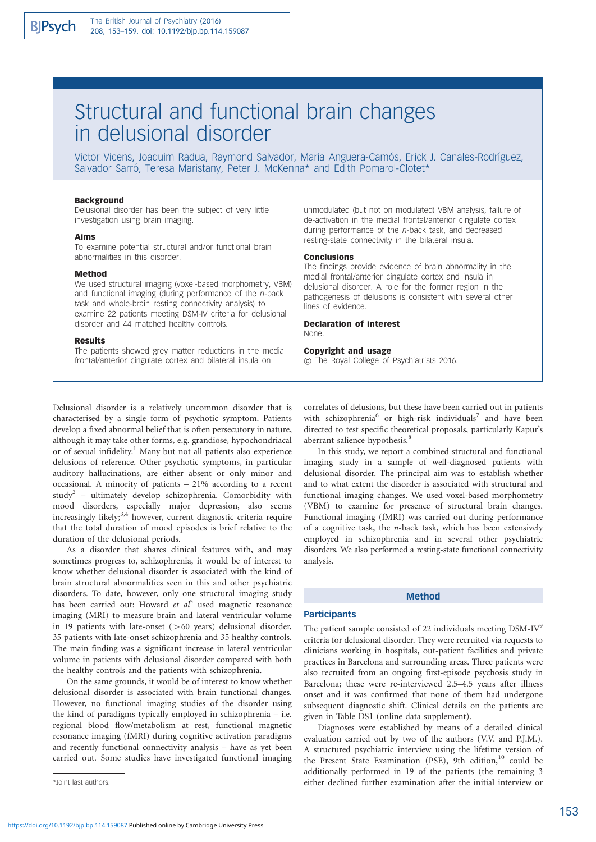# Structural and functional brain changes in delusional disorder

Victor Vicens, Joaquim Radua, Raymond Salvador, Maria Anguera-Camós, Erick J. Canales-Rodríguez, Salvador Sarró, Teresa Maristany, Peter J. McKenna\* and Edith Pomarol-Clotet\*

#### Background

Delusional disorder has been the subject of very little investigation using brain imaging.

# Aims

To examine potential structural and/or functional brain abnormalities in this disorder.

## Method

We used structural imaging (voxel-based morphometry, VBM) and functional imaging (during performance of the  $n$ -back task and whole-brain resting connectivity analysis) to examine 22 patients meeting DSM-IV criteria for delusional disorder and 44 matched healthy controls.

#### Results

The patients showed grey matter reductions in the medial frontal/anterior cingulate cortex and bilateral insula on

unmodulated (but not on modulated) VBM analysis, failure of de-activation in the medial frontal/anterior cingulate cortex during performance of the n-back task, and decreased resting-state connectivity in the bilateral insula.

#### Conclusions

The findings provide evidence of brain abnormality in the medial frontal/anterior cingulate cortex and insula in delusional disorder. A role for the former region in the pathogenesis of delusions is consistent with several other lines of evidence.

# Declaration of interest

None.

# Copyright and usage

B The Royal College of Psychiatrists 2016.

Delusional disorder is a relatively uncommon disorder that is characterised by a single form of psychotic symptom. Patients develop a fixed abnormal belief that is often persecutory in nature, although it may take other forms, e.g. grandiose, hypochondriacal or of sexual infidelity.<sup>1</sup> Many but not all patients also experience delusions of reference. Other psychotic symptoms, in particular auditory hallucinations, are either absent or only minor and occasional. A minority of patients – 21% according to a recent study<sup>2</sup> – ultimately develop schizophrenia. Comorbidity with mood disorders, especially major depression, also seems increasingly likely;<sup>3,4</sup> however, current diagnostic criteria require that the total duration of mood episodes is brief relative to the duration of the delusional periods.

As a disorder that shares clinical features with, and may sometimes progress to, schizophrenia, it would be of interest to know whether delusional disorder is associated with the kind of brain structural abnormalities seen in this and other psychiatric disorders. To date, however, only one structural imaging study has been carried out: Howard et  $al^5$  used magnetic resonance imaging (MRI) to measure brain and lateral ventricular volume in 19 patients with late-onset  $(>60$  years) delusional disorder, 35 patients with late-onset schizophrenia and 35 healthy controls. The main finding was a significant increase in lateral ventricular volume in patients with delusional disorder compared with both the healthy controls and the patients with schizophrenia.

On the same grounds, it would be of interest to know whether delusional disorder is associated with brain functional changes. However, no functional imaging studies of the disorder using the kind of paradigms typically employed in schizophrenia – i.e. regional blood flow/metabolism at rest, functional magnetic resonance imaging (fMRI) during cognitive activation paradigms and recently functional connectivity analysis – have as yet been carried out. Some studies have investigated functional imaging

correlates of delusions, but these have been carried out in patients with schizophrenia<sup>6</sup> or high-risk individuals<sup>7</sup> and have been directed to test specific theoretical proposals, particularly Kapur's aberrant salience hypothesis.<sup>8</sup>

In this study, we report a combined structural and functional imaging study in a sample of well-diagnosed patients with delusional disorder. The principal aim was to establish whether and to what extent the disorder is associated with structural and functional imaging changes. We used voxel-based morphometry (VBM) to examine for presence of structural brain changes. Functional imaging (fMRI) was carried out during performance of a cognitive task, the  $n$ -back task, which has been extensively employed in schizophrenia and in several other psychiatric disorders. We also performed a resting-state functional connectivity analysis.

# Method

# **Participants**

The patient sample consisted of 22 individuals meeting DSM-IV<sup>9</sup> criteria for delusional disorder. They were recruited via requests to clinicians working in hospitals, out-patient facilities and private practices in Barcelona and surrounding areas. Three patients were also recruited from an ongoing first-episode psychosis study in Barcelona; these were re-interviewed 2.5–4.5 years after illness onset and it was confirmed that none of them had undergone subsequent diagnostic shift. Clinical details on the patients are given in Table DS1 (online data supplement).

Diagnoses were established by means of a detailed clinical evaluation carried out by two of the authors (V.V. and P.J.M.). A structured psychiatric interview using the lifetime version of the Present State Examination (PSE), 9th edition, $10$  could be additionally performed in 19 of the patients (the remaining 3 either declined further examination after the initial interview or

<sup>\*</sup>Joint last authors.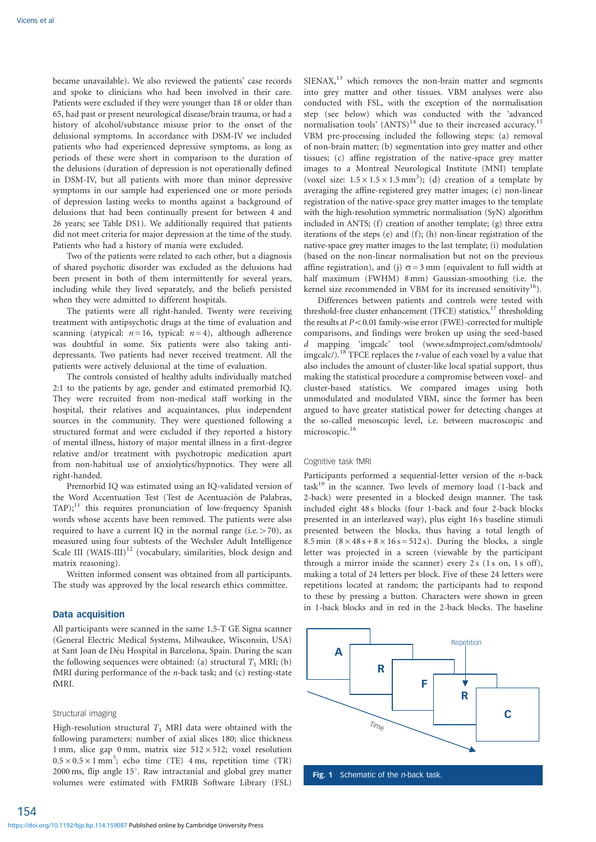became unavailable). We also reviewed the patients' case records and spoke to clinicians who had been involved in their care. Patients were excluded if they were younger than 18 or older than 65, had past or present neurological disease/brain trauma, or had a history of alcohol/substance misuse prior to the onset of the delusional symptoms. In accordance with DSM-IV we included patients who had experienced depressive symptoms, as long as periods of these were short in comparison to the duration of the delusions (duration of depression is not operationally defined in DSM-IV, but all patients with more than minor depressive symptoms in our sample had experienced one or more periods of depression lasting weeks to months against a background of delusions that had been continually present for between 4 and 26 years; see Table DS1). We additionally required that patients did not meet criteria for major depression at the time of the study. Patients who had a history of mania were excluded.

Two of the patients were related to each other, but a diagnosis of shared psychotic disorder was excluded as the delusions had been present in both of them intermittently for several years, including while they lived separately, and the beliefs persisted when they were admitted to different hospitals.

The patients were all right-handed. Twenty were receiving treatment with antipsychotic drugs at the time of evaluation and scanning (atypical:  $n = 16$ , typical:  $n = 4$ ), although adherence was doubtful in some. Six patients were also taking antidepressants. Two patients had never received treatment. All the patients were actively delusional at the time of evaluation.

The controls consisted of healthy adults individually matched 2:1 to the patients by age, gender and estimated premorbid IQ. They were recruited from non-medical staff working in the hospital, their relatives and acquaintances, plus independent sources in the community. They were questioned following a structured format and were excluded if they reported a history of mental illness, history of major mental illness in a first-degree relative and/or treatment with psychotropic medication apart from non-habitual use of anxiolytics/hypnotics. They were all right-handed.

Premorbid IQ was estimated using an IQ-validated version of the Word Accentuation Test (Test de Acentuación de Palabras,  $TAP$ ;<sup>11</sup> this requires pronunciation of low-frequency Spanish words whose accents have been removed. The patients were also required to have a current IQ in the normal range (i.e.  $>$  70), as measured using four subtests of the Wechsler Adult Intelligence Scale III (WAIS-III)<sup>12</sup> (vocabulary, similarities, block design and matrix reasoning).

Written informed consent was obtained from all participants. The study was approved by the local research ethics committee.

# Data acquisition

All participants were scanned in the same 1.5-T GE Signa scanner (General Electric Medical Systems, Milwaukee, Wisconsin, USA) at Sant Joan de Déu Hospital in Barcelona, Spain. During the scan the following sequences were obtained: (a) structural  $T_1$  MRI; (b) fMRI during performance of the *n*-back task; and  $(c)$  resting-state fMRI.

#### Structural imaging

High-resolution structural  $T_1$  MRI data were obtained with the following parameters: number of axial slices 180; slice thickness 1 mm, slice gap 0 mm, matrix size  $512 \times 512$ ; voxel resolution  $0.5 \times 0.5 \times 1$  mm<sup>3</sup>; echo time (TE) 4 ms, repetition time (TR)  $2000 \text{ ms}$ , flip angle  $15^\circ$ . Raw intracranial and global grey matter volumes were estimated with FMRIB Software Library (FSL)

SIENAX,<sup>13</sup> which removes the non-brain matter and segments into grey matter and other tissues. VBM analyses were also conducted with FSL, with the exception of the normalisation step (see below) which was conducted with the 'advanced normalisation tools'  $(ANTS)^{14}$  due to their increased accuracy.<sup>15</sup> VBM pre-processing included the following steps: (a) removal of non-brain matter; (b) segmentation into grey matter and other tissues; (c) affine registration of the native-space grey matter images to a Montreal Neurological Institute (MNI) template (voxel size:  $1.5 \times 1.5 \times 1.5$  mm<sup>3</sup>); (d) creation of a template by averaging the affine-registered grey matter images; (e) non-linear registration of the native-space grey matter images to the template with the high-resolution symmetric normalisation (SyN) algorithm included in ANTS; (f) creation of another template; (g) three extra iterations of the steps (e) and (f); (h) non-linear registration of the native-space grey matter images to the last template; (i) modulation (based on the non-linear normalisation but not on the previous affine registration), and (j)  $\sigma = 3$  mm (equivalent to full width at half maximum (FWHM) 8 mm) Gaussian-smoothing (i.e. the kernel size recommended in VBM for its increased sensitivity<sup>16</sup>).

Differences between patients and controls were tested with threshold-free cluster enhancement (TFCE) statistics,<sup>17</sup> thresholding the results at  $P<0.01$  family-wise error (FWE)-corrected for multiple comparisons, and findings were broken up using the seed-based d mapping 'imgcalc' tool (www.sdmproject.com/sdmtools/  $imgcalc/$ ).<sup>18</sup> TFCE replaces the *t*-value of each voxel by a value that also includes the amount of cluster-like local spatial support, thus making the statistical procedure a compromise between voxel- and cluster-based statistics. We compared images using both unmodulated and modulated VBM, since the former has been argued to have greater statistical power for detecting changes at the so-called mesoscopic level, i.e. between macroscopic and microscopic.<sup>16</sup>

#### Cognitive task fMRI

Participants performed a sequential-letter version of the  $n$ -back task<sup>19</sup> in the scanner. Two levels of memory load (1-back and 2-back) were presented in a blocked design manner. The task included eight 48 s blocks (four 1-back and four 2-back blocks presented in an interleaved way), plus eight 16 s baseline stimuli presented between the blocks, thus having a total length of 8.5 min  $(8 \times 48 s + 8 \times 16 s = 512 s)$ . During the blocks, a single letter was projected in a screen (viewable by the participant through a mirror inside the scanner) every 2 s (1 s on, 1 s off), making a total of 24 letters per block. Five of these 24 letters were repetitions located at random; the participants had to respond to these by pressing a button. Characters were shown in green in 1-back blocks and in red in the 2-back blocks. The baseline

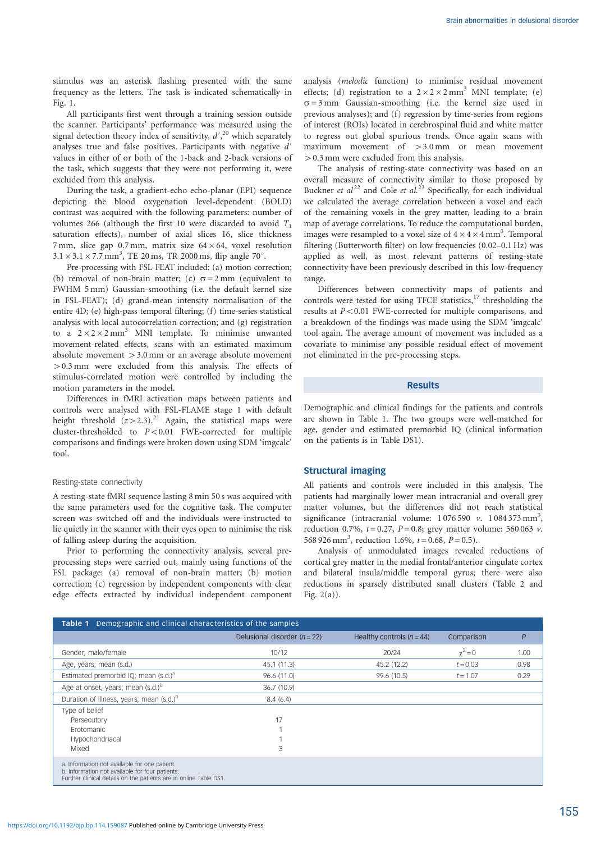stimulus was an asterisk flashing presented with the same frequency as the letters. The task is indicated schematically in Fig. 1.

All participants first went through a training session outside the scanner. Participants' performance was measured using the signal detection theory index of sensitivity,  $d'$ ,<sup>20</sup> which separately analyses true and false positives. Participants with negative d' values in either of or both of the 1-back and 2-back versions of the task, which suggests that they were not performing it, were excluded from this analysis.

During the task, a gradient-echo echo-planar (EPI) sequence depicting the blood oxygenation level-dependent (BOLD) contrast was acquired with the following parameters: number of volumes 266 (although the first 10 were discarded to avoid  $T_1$ saturation effects), number of axial slices 16, slice thickness 7 mm, slice gap 0.7 mm, matrix size  $64 \times 64$ , voxel resolution  $3.1 \times 3.1 \times 7.7$  mm<sup>3</sup>, TE 20 ms, TR 2000 ms, flip angle 70°.

Pre-processing with FSL-FEAT included: (a) motion correction; (b) removal of non-brain matter; (c)  $\sigma = 2$  mm (equivalent to FWHM 5 mm) Gaussian-smoothing (i.e. the default kernel size in FSL-FEAT); (d) grand-mean intensity normalisation of the entire 4D; (e) high-pass temporal filtering; (f) time-series statistical analysis with local autocorrelation correction; and (g) registration to a  $2 \times 2 \times 2$  mm<sup>3</sup> MNI template. To minimise unwanted movement-related effects, scans with an estimated maximum absolute movement  $>$  3.0 mm or an average absolute movement  $> 0.3$  mm were excluded from this analysis. The effects of stimulus-correlated motion were controlled by including the motion parameters in the model.

Differences in fMRI activation maps between patients and controls were analysed with FSL-FLAME stage 1 with default height threshold  $(z>2.3)$ .<sup>21</sup> Again, the statistical maps were cluster-thresholded to  $P < 0.01$  FWE-corrected for multiple comparisons and findings were broken down using SDM 'imgcalc' tool.

# Resting-state connectivity

A resting-state fMRI sequence lasting 8 min 50 s was acquired with the same parameters used for the cognitive task. The computer screen was switched off and the individuals were instructed to lie quietly in the scanner with their eyes open to minimise the risk of falling asleep during the acquisition.

Prior to performing the connectivity analysis, several preprocessing steps were carried out, mainly using functions of the FSL package: (a) removal of non-brain matter; (b) motion correction; (c) regression by independent components with clear edge effects extracted by individual independent component analysis (melodic function) to minimise residual movement effects; (d) registration to a  $2 \times 2 \times 2$  mm<sup>3</sup> MNI template; (e)  $\sigma = 3$  mm Gaussian-smoothing (i.e. the kernel size used in previous analyses); and (f) regression by time-series from regions of interest (ROIs) located in cerebrospinal fluid and white matter to regress out global spurious trends. Once again scans with maximum movement of  $>3.0$  mm or mean movement  $>$  0.3 mm were excluded from this analysis.

The analysis of resting-state connectivity was based on an overall measure of connectivity similar to those proposed by Buckner et  $al^{22}$  and Cole et al.<sup>23</sup> Specifically, for each individual we calculated the average correlation between a voxel and each of the remaining voxels in the grey matter, leading to a brain map of average correlations. To reduce the computational burden, images were resampled to a voxel size of  $4 \times 4 \times 4$  mm<sup>3</sup>. Temporal filtering (Butterworth filter) on low frequencies (0.02–0.1 Hz) was applied as well, as most relevant patterns of resting-state connectivity have been previously described in this low-frequency range.

Differences between connectivity maps of patients and controls were tested for using TFCE statistics, $17$  thresholding the results at  $P<0.01$  FWE-corrected for multiple comparisons, and a breakdown of the findings was made using the SDM 'imgcalc' tool again. The average amount of movement was included as a covariate to minimise any possible residual effect of movement not eliminated in the pre-processing steps.

## Results

Demographic and clinical findings for the patients and controls are shown in Table 1. The two groups were well-matched for age, gender and estimated premorbid IQ (clinical information on the patients is in Table DS1).

# Structural imaging

All patients and controls were included in this analysis. The patients had marginally lower mean intracranial and overall grey matter volumes, but the differences did not reach statistical significance (intracranial volume:  $1076590$  v.  $1084373$  mm<sup>3</sup>, reduction 0.7%,  $t = 0.27$ ,  $P = 0.8$ ; grey matter volume: 560 063  $v$ . 568 926 mm<sup>3</sup>, reduction 1.6%,  $t = 0.68$ ,  $P = 0.5$ ).

Analysis of unmodulated images revealed reductions of cortical grey matter in the medial frontal/anterior cingulate cortex and bilateral insula/middle temporal gyrus; there were also reductions in sparsely distributed small clusters (Table 2 and Fig. 2(a)).

| Demographic and clinical characteristics of the samples<br>Table 1                                                                                                    |                                |                                   |                |      |  |  |
|-----------------------------------------------------------------------------------------------------------------------------------------------------------------------|--------------------------------|-----------------------------------|----------------|------|--|--|
|                                                                                                                                                                       | Delusional disorder $(n = 22)$ | Healthy controls $(n = 44)$       |                | P    |  |  |
| Gender, male/female                                                                                                                                                   | 10/12                          | 20/24                             | $\gamma^2 = 0$ | 1.00 |  |  |
| Age, years; mean (s.d.)                                                                                                                                               | 45.1 (11.3)                    | 0.98<br>$t = 0.03$<br>45.2 (12.2) |                |      |  |  |
| Estimated premorbid IQ; mean (s.d.) <sup>a</sup>                                                                                                                      | 96.6 (11.0)                    | 99.6 (10.5)                       | $t = 1.07$     | 0.29 |  |  |
| Age at onset, years; mean (s.d.) <sup>b</sup>                                                                                                                         | 36.7(10.9)                     |                                   |                |      |  |  |
| Duration of illness, years; mean (s.d.) <sup>b</sup>                                                                                                                  | 8.4(6.4)                       |                                   |                |      |  |  |
| Type of belief                                                                                                                                                        |                                |                                   |                |      |  |  |
| Persecutory                                                                                                                                                           | 17                             |                                   |                |      |  |  |
| <b>Frotomanic</b>                                                                                                                                                     |                                |                                   |                |      |  |  |
| Hypochondriacal                                                                                                                                                       |                                |                                   |                |      |  |  |
| Mixed                                                                                                                                                                 | 3                              |                                   |                |      |  |  |
| a. Information not available for one patient.<br>b. Information not available for four patients.<br>Further clinical details on the patients are in online Table DS1. |                                |                                   |                |      |  |  |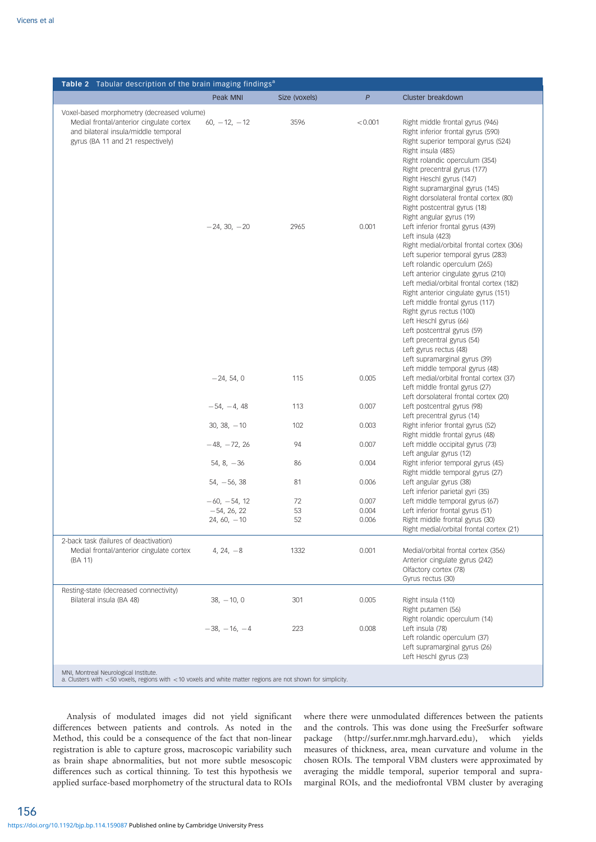| <b>Table 2</b> Tabular description of the brain imaging findings <sup>a</sup>                                         |                                |               |                  |                                                                                                                                                                                                                                                                                                                                                                                                                                                                                   |
|-----------------------------------------------------------------------------------------------------------------------|--------------------------------|---------------|------------------|-----------------------------------------------------------------------------------------------------------------------------------------------------------------------------------------------------------------------------------------------------------------------------------------------------------------------------------------------------------------------------------------------------------------------------------------------------------------------------------|
|                                                                                                                       | Peak MNI                       | Size (voxels) | $\boldsymbol{P}$ | Cluster breakdown                                                                                                                                                                                                                                                                                                                                                                                                                                                                 |
| Voxel-based morphometry (decreased volume)                                                                            |                                |               |                  |                                                                                                                                                                                                                                                                                                                                                                                                                                                                                   |
| Medial frontal/anterior cingulate cortex<br>and bilateral insula/middle temporal<br>gyrus (BA 11 and 21 respectively) | $60, -12, -12$                 | 3596          | < 0.001          | Right middle frontal gyrus (946)<br>Right inferior frontal gyrus (590)<br>Right superior temporal gyrus (524)<br>Right insula (485)<br>Right rolandic operculum (354)<br>Right precentral gyrus (177)<br>Right Heschl gyrus (147)<br>Right supramarginal gyrus (145)<br>Right dorsolateral frontal cortex (80)                                                                                                                                                                    |
|                                                                                                                       |                                |               |                  | Right postcentral gyrus (18)                                                                                                                                                                                                                                                                                                                                                                                                                                                      |
|                                                                                                                       |                                |               |                  | Right angular gyrus (19)                                                                                                                                                                                                                                                                                                                                                                                                                                                          |
|                                                                                                                       | $-24, 30, -20$                 | 2965          | 0.001            | Left inferior frontal gyrus (439)                                                                                                                                                                                                                                                                                                                                                                                                                                                 |
|                                                                                                                       |                                |               |                  | Left insula (423)<br>Right medial/orbital frontal cortex (306)<br>Left superior temporal gyrus (283)<br>Left rolandic operculum (265)<br>Left anterior cingulate gyrus (210)<br>Left medial/orbital frontal cortex (182)<br>Right anterior cingulate gyrus (151)<br>Left middle frontal gyrus (117)<br>Right gyrus rectus (100)<br>Left Heschl gyrus (66)<br>Left postcentral gyrus (59)<br>Left precentral gyrus (54)<br>Left gyrus rectus (48)<br>Left supramarginal gyrus (39) |
|                                                                                                                       |                                |               |                  | Left middle temporal gyrus (48)                                                                                                                                                                                                                                                                                                                                                                                                                                                   |
|                                                                                                                       | $-24, 54, 0$                   | 115           | 0.005            | Left medial/orbital frontal cortex (37)<br>Left middle frontal gyrus (27)                                                                                                                                                                                                                                                                                                                                                                                                         |
|                                                                                                                       |                                |               |                  | Left dorsolateral frontal cortex (20)                                                                                                                                                                                                                                                                                                                                                                                                                                             |
|                                                                                                                       | $-54, -4, 48$                  | 113           | 0.007            | Left postcentral gyrus (98)<br>Left precentral gyrus (14)                                                                                                                                                                                                                                                                                                                                                                                                                         |
|                                                                                                                       | $30, 38, -10$                  | 102           | 0.003            | Right inferior frontal gyrus (52)                                                                                                                                                                                                                                                                                                                                                                                                                                                 |
|                                                                                                                       |                                |               |                  | Right middle frontal gyrus (48)                                                                                                                                                                                                                                                                                                                                                                                                                                                   |
|                                                                                                                       | $-48, -72, 26$                 | 94            | 0.007            | Left middle occipital gyrus (73)                                                                                                                                                                                                                                                                                                                                                                                                                                                  |
|                                                                                                                       | 54, 8, $-36$                   | 86            | 0.004            | Left angular gyrus (12)<br>Right inferior temporal gyrus (45)                                                                                                                                                                                                                                                                                                                                                                                                                     |
|                                                                                                                       |                                |               |                  | Right middle temporal gyrus (27)                                                                                                                                                                                                                                                                                                                                                                                                                                                  |
|                                                                                                                       | $54, -56, 38$                  | 81            | 0.006            | Left angular gyrus (38)                                                                                                                                                                                                                                                                                                                                                                                                                                                           |
|                                                                                                                       |                                |               |                  | Left inferior parietal gyri (35)                                                                                                                                                                                                                                                                                                                                                                                                                                                  |
|                                                                                                                       | $-60, -54, 12$                 | 72            | 0.007            | Left middle temporal gyrus (67)                                                                                                                                                                                                                                                                                                                                                                                                                                                   |
|                                                                                                                       | $-54, 26, 22$<br>$24, 60, -10$ | 53<br>52      | 0.004<br>0.006   | Left inferior frontal gyrus (51)<br>Right middle frontal gyrus (30)                                                                                                                                                                                                                                                                                                                                                                                                               |
|                                                                                                                       |                                |               |                  | Right medial/orbital frontal cortex (21)                                                                                                                                                                                                                                                                                                                                                                                                                                          |
| 2-back task (failures of deactivation)                                                                                |                                |               |                  |                                                                                                                                                                                                                                                                                                                                                                                                                                                                                   |
| Medial frontal/anterior cingulate cortex                                                                              | 4, 24, $-8$                    | 1332          | 0.001            | Medial/orbital frontal cortex (356)                                                                                                                                                                                                                                                                                                                                                                                                                                               |
| (BA 11)                                                                                                               |                                |               |                  | Anterior cingulate gyrus (242)<br>Olfactory cortex (78)<br>Gyrus rectus (30)                                                                                                                                                                                                                                                                                                                                                                                                      |
| Resting-state (decreased connectivity)                                                                                |                                |               |                  |                                                                                                                                                                                                                                                                                                                                                                                                                                                                                   |
| Bilateral insula (BA 48)                                                                                              | $38, -10, 0$                   | 301           | 0.005            | Right insula (110)<br>Right putamen (56)<br>Right rolandic operculum (14)                                                                                                                                                                                                                                                                                                                                                                                                         |
|                                                                                                                       | $-38, -16, -4$                 | 223           | 0.008            | Left insula (78)                                                                                                                                                                                                                                                                                                                                                                                                                                                                  |
|                                                                                                                       |                                |               |                  | Left rolandic operculum (37)<br>Left supramarginal gyrus (26)<br>Left Heschl gyrus (23)                                                                                                                                                                                                                                                                                                                                                                                           |
|                                                                                                                       |                                |               |                  |                                                                                                                                                                                                                                                                                                                                                                                                                                                                                   |

Analysis of modulated images did not yield significant differences between patients and controls. As noted in the Method, this could be a consequence of the fact that non-linear registration is able to capture gross, macroscopic variability such as brain shape abnormalities, but not more subtle mesoscopic differences such as cortical thinning. To test this hypothesis we applied surface-based morphometry of the structural data to ROIs

where there were unmodulated differences between the patients and the controls. This was done using the FreeSurfer software package (http://surfer.nmr.mgh.harvard.edu), which yields measures of thickness, area, mean curvature and volume in the chosen ROIs. The temporal VBM clusters were approximated by averaging the middle temporal, superior temporal and supramarginal ROIs, and the mediofrontal VBM cluster by averaging

156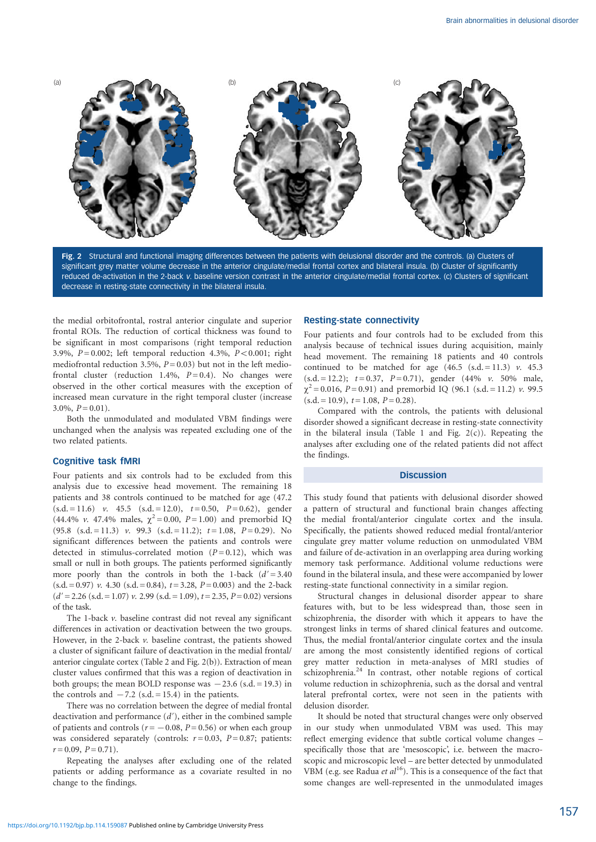

Fig. 2 Structural and functional imaging differences between the patients with delusional disorder and the controls. (a) Clusters of significant grey matter volume decrease in the anterior cingulate/medial frontal cortex and bilateral insula. (b) Cluster of significantly reduced de-activation in the 2-back v. baseline version contrast in the anterior cingulate/medial frontal cortex. (c) Clusters of significant decrease in resting-state connectivity in the bilateral insula.

the medial orbitofrontal, rostral anterior cingulate and superior frontal ROIs. The reduction of cortical thickness was found to be significant in most comparisons (right temporal reduction 3.9%,  $P = 0.002$ ; left temporal reduction 4.3%,  $P < 0.001$ ; right mediofrontal reduction 3.5%,  $P = 0.03$ ) but not in the left mediofrontal cluster (reduction 1.4%,  $P = 0.4$ ). No changes were observed in the other cortical measures with the exception of increased mean curvature in the right temporal cluster (increase  $3.0\%$ ,  $P = 0.01$ ).

Both the unmodulated and modulated VBM findings were unchanged when the analysis was repeated excluding one of the two related patients.

#### Cognitive task fMRI

Four patients and six controls had to be excluded from this analysis due to excessive head movement. The remaining 18 patients and 38 controls continued to be matched for age (47.2  $(s.d. = 11.6)$  v. 45.5  $(s.d. = 12.0)$ ,  $t = 0.50$ ,  $P = 0.62$ ), gender (44.4% v. 47.4% males,  $\chi^2 = 0.00$ ,  $P = 1.00$ ) and premorbid IQ  $(95.8 \text{ (s.d.} = 11.3) \text{ v. } 99.3 \text{ (s.d.} = 11.2); t = 1.08, P = 0.29)$ . No significant differences between the patients and controls were detected in stimulus-correlated motion ( $P = 0.12$ ), which was small or null in both groups. The patients performed significantly more poorly than the controls in both the 1-back  $(d' = 3.40$  $(s.d. = 0.97)$  v. 4.30  $(s.d. = 0.84)$ ,  $t = 3.28$ ,  $P = 0.003$ ) and the 2-back  $(d' = 2.26$  (s.d. = 1.07) v. 2.99 (s.d. = 1.09),  $t = 2.35$ ,  $P = 0.02$ ) versions of the task.

The 1-back  $\nu$ , baseline contrast did not reveal any significant differences in activation or deactivation between the two groups. However, in the 2-back v. baseline contrast, the patients showed a cluster of significant failure of deactivation in the medial frontal/ anterior cingulate cortex (Table 2 and Fig. 2(b)). Extraction of mean cluster values confirmed that this was a region of deactivation in both groups; the mean BOLD response was  $-23.6$  (s.d. = 19.3) in the controls and  $-7.2$  (s.d. = 15.4) in the patients.

There was no correlation between the degree of medial frontal deactivation and performance  $(d')$ , either in the combined sample of patients and controls ( $r = -0.08$ ,  $P = 0.56$ ) or when each group was considered separately (controls:  $r = 0.03$ ,  $P = 0.87$ ; patients:  $r = 0.09$ ,  $P = 0.71$ ).

Repeating the analyses after excluding one of the related patients or adding performance as a covariate resulted in no change to the findings.

#### Resting-state connectivity

Four patients and four controls had to be excluded from this analysis because of technical issues during acquisition, mainly head movement. The remaining 18 patients and 40 controls continued to be matched for age  $(46.5 \text{ (s.d.} = 11.3) \text{ v. } 45.3$  $(s.d. = 12.2); t = 0.37, P = 0.71;$  gender  $(44\% \nu. 50\%$  male,  $\chi^2$  = 0.016, P = 0.91) and premorbid IQ (96.1 (s.d. = 11.2) v. 99.5  $(s.d. = 10.9), t = 1.08, P = 0.28.$ 

Compared with the controls, the patients with delusional disorder showed a significant decrease in resting-state connectivity in the bilateral insula (Table 1 and Fig.  $2(c)$ ). Repeating the analyses after excluding one of the related patients did not affect the findings.

# **Discussion**

This study found that patients with delusional disorder showed a pattern of structural and functional brain changes affecting the medial frontal/anterior cingulate cortex and the insula. Specifically, the patients showed reduced medial frontal/anterior cingulate grey matter volume reduction on unmodulated VBM and failure of de-activation in an overlapping area during working memory task performance. Additional volume reductions were found in the bilateral insula, and these were accompanied by lower resting-state functional connectivity in a similar region.

Structural changes in delusional disorder appear to share features with, but to be less widespread than, those seen in schizophrenia, the disorder with which it appears to have the strongest links in terms of shared clinical features and outcome. Thus, the medial frontal/anterior cingulate cortex and the insula are among the most consistently identified regions of cortical grey matter reduction in meta-analyses of MRI studies of schizophrenia.<sup>24</sup> In contrast, other notable regions of cortical volume reduction in schizophrenia, such as the dorsal and ventral lateral prefrontal cortex, were not seen in the patients with delusion disorder.

It should be noted that structural changes were only observed in our study when unmodulated VBM was used. This may reflect emerging evidence that subtle cortical volume changes – specifically those that are 'mesoscopic', i.e. between the macroscopic and microscopic level – are better detected by unmodulated VBM (e.g. see Radua et  $al^{16}$ ). This is a consequence of the fact that some changes are well-represented in the unmodulated images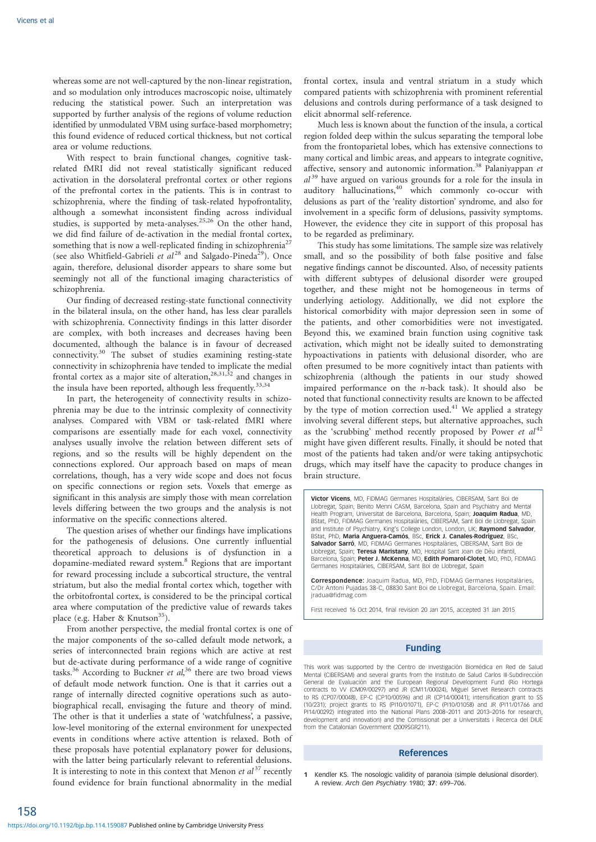whereas some are not well-captured by the non-linear registration, and so modulation only introduces macroscopic noise, ultimately reducing the statistical power. Such an interpretation was supported by further analysis of the regions of volume reduction identified by unmodulated VBM using surface-based morphometry; this found evidence of reduced cortical thickness, but not cortical area or volume reductions.

With respect to brain functional changes, cognitive taskrelated fMRI did not reveal statistically significant reduced activation in the dorsolateral prefrontal cortex or other regions of the prefrontal cortex in the patients. This is in contrast to schizophrenia, where the finding of task-related hypofrontality, although a somewhat inconsistent finding across individual studies, is supported by meta-analyses.<sup>25,26</sup> On the other hand, we did find failure of de-activation in the medial frontal cortex, something that is now a well-replicated finding in schizophrenia<sup>27</sup> (see also Whitfield-Gabrieli et  $al^{28}$  and Salgado-Pineda<sup>29</sup>). Once again, therefore, delusional disorder appears to share some but seemingly not all of the functional imaging characteristics of schizophrenia.

Our finding of decreased resting-state functional connectivity in the bilateral insula, on the other hand, has less clear parallels with schizophrenia. Connectivity findings in this latter disorder are complex, with both increases and decreases having been documented, although the balance is in favour of decreased connectivity.<sup>30</sup> The subset of studies examining resting-state connectivity in schizophrenia have tended to implicate the medial frontal cortex as a major site of alteration,  $28,31,52$  and changes in the insula have been reported, although less frequently.<sup>33,34</sup>

In part, the heterogeneity of connectivity results in schizophrenia may be due to the intrinsic complexity of connectivity analyses. Compared with VBM or task-related fMRI where comparisons are essentially made for each voxel, connectivity analyses usually involve the relation between different sets of regions, and so the results will be highly dependent on the connections explored. Our approach based on maps of mean correlations, though, has a very wide scope and does not focus on specific connections or region sets. Voxels that emerge as significant in this analysis are simply those with mean correlation levels differing between the two groups and the analysis is not informative on the specific connections altered.

The question arises of whether our findings have implications for the pathogenesis of delusions. One currently influential theoretical approach to delusions is of dysfunction in a dopamine-mediated reward system.<sup>8</sup> Regions that are important for reward processing include a subcortical structure, the ventral striatum, but also the medial frontal cortex which, together with the orbitofrontal cortex, is considered to be the principal cortical area where computation of the predictive value of rewards takes place (e.g. Haber & Knutson<sup>35</sup>).

From another perspective, the medial frontal cortex is one of the major components of the so-called default mode network, a series of interconnected brain regions which are active at rest but de-activate during performance of a wide range of cognitive tasks.<sup>36</sup> According to Buckner et  $al$ ,<sup>36</sup> there are two broad views of default mode network function. One is that it carries out a range of internally directed cognitive operations such as autobiographical recall, envisaging the future and theory of mind. The other is that it underlies a state of 'watchfulness', a passive, low-level monitoring of the external environment for unexpected events in conditions where active attention is relaxed. Both of these proposals have potential explanatory power for delusions, with the latter being particularly relevant to referential delusions. It is interesting to note in this context that Menon et  $al<sup>37</sup>$  recently found evidence for brain functional abnormality in the medial

frontal cortex, insula and ventral striatum in a study which compared patients with schizophrenia with prominent referential delusions and controls during performance of a task designed to elicit abnormal self-reference.

Much less is known about the function of the insula, a cortical region folded deep within the sulcus separating the temporal lobe from the frontoparietal lobes, which has extensive connections to many cortical and limbic areas, and appears to integrate cognitive, affective, sensory and autonomic information.<sup>38</sup> Palaniyappan et  $al<sup>39</sup>$  have argued on various grounds for a role for the insula in auditory hallucinations,<sup>40</sup> which commonly co-occur with delusions as part of the 'reality distortion' syndrome, and also for involvement in a specific form of delusions, passivity symptoms. However, the evidence they cite in support of this proposal has to be regarded as preliminary.

This study has some limitations. The sample size was relatively small, and so the possibility of both false positive and false negative findings cannot be discounted. Also, of necessity patients with different subtypes of delusional disorder were grouped together, and these might not be homogeneous in terms of underlying aetiology. Additionally, we did not explore the historical comorbidity with major depression seen in some of the patients, and other comorbidities were not investigated. Beyond this, we examined brain function using cognitive task activation, which might not be ideally suited to demonstrating hypoactivations in patients with delusional disorder, who are often presumed to be more cognitively intact than patients with schizophrenia (although the patients in our study showed impaired performance on the n-back task). It should also be noted that functional connectivity results are known to be affected by the type of motion correction used. $41$  We applied a strategy involving several different steps, but alternative approaches, such as the 'scrubbing' method recently proposed by Power et  $al^{42}$ might have given different results. Finally, it should be noted that most of the patients had taken and/or were taking antipsychotic drugs, which may itself have the capacity to produce changes in brain structure.

Victor Vicens, MD, FIDMAG Germanes Hospitalàries, CIBERSAM, Sant Boi de Llobregat, Spain, Benito Menni CASM, Barcelona, Spain and Psychiatry and Mental Health Program, Universitat de Barcelona, Barcelona, Spain; **Joaquim Radua**, MD, BStat, PhD, FIDMAG Germanes Hospitalaries, CIBERSAM, Sant Boi de Llobregat, Spain and Institute of Psychiatry, King's College London, London, UK; Raymond Salvador, and meadule of Feyemally, Aling o Bellege Lender, Eshaeliy, Allymond Carl<br>BStat, PhD, Maria Anguera-Camós, BSc, Erick J. Canales-Rodríguez, BSc, Salvador Sarró, MD, FIDMAG Germanes Hospitalàries, CIBERSAM, Sant Boi de Llobregat, Spain; Teresa Maristany, MD, Hospital Sant Joan de Déu infantil, Barcelona, Spain; Peter J. McKenna, MD, Edith Pomarol-Clotet, MD, PhD, FIDMAG Germanes Hospitala`ries, CIBERSAM, Sant Boi de Llobregat, Spain

Correspondence: Joaquim Radua, MD, PhD, FIDMAG Germanes Hospitalàries, C/Dr Antoni Pujadas 38-C, 08830 Sant Boi de Llobregat, Barcelona, Spain. Email: jradua@fidmag.com

First received 16 Oct 2014, final revision 20 Jan 2015, accepted 31 Jan 2015

## Funding

This work was supported by the Centro de Investigación Biomédica en Red de Salud Mental (CIBERSAM) and several grants from the Instituto de Salud Carlos III-Subdirección General de Evaluación and the European Regional Development Fund (Rio Hortega contracts to VV (CM09/00297) and JR (CM11/00024), Miguel Servet Research contracts to RS (CP07/00048), EP-C (CP10/00596) and JR (CP14/00041); intensification grant to SS (10/231); project grants to RS (PI10/01071), EP-C (PI10/01058) and JR (PI11/01766 and PI14/00292) integrated into the National Plans 2008–2011 and 2013–2016 for research, development and innovation) and the Comissionat per a Universitats i Recerca del DIUE from the Catalonian Government (2009SGR211).

# References

Kendler KS. The nosologic validity of paranoia (simple delusional disorder). A review. Arch Gen Psychiatry 1980; 37: 699–706.

158